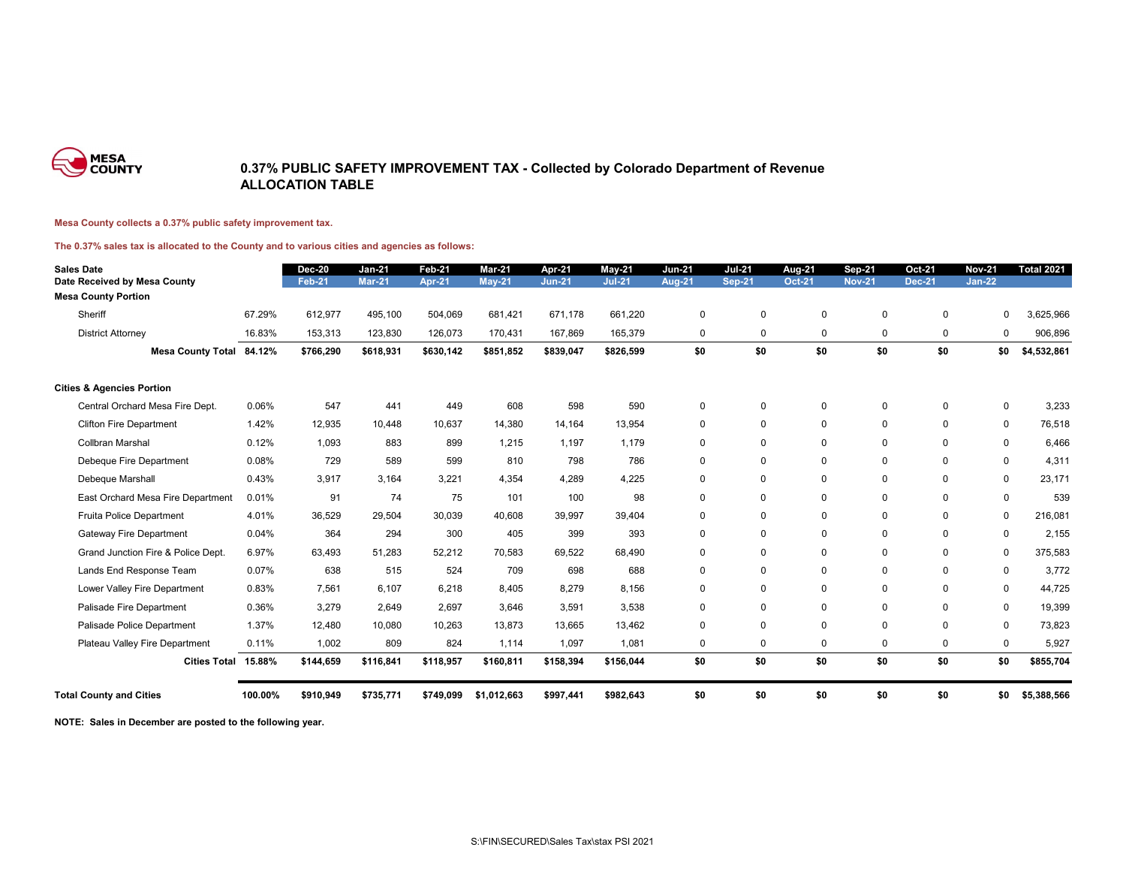

### **0.37% PUBLIC SAFETY IMPROVEMENT TAX - Collected by Colorado Department of Revenue ALLOCATION TABLE**

#### **Mesa County collects a 0.37% public safety improvement tax.**

#### **The 0.37% sales tax is allocated to the County and to various cities and agencies as follows:**

| <b>Sales Date</b><br>Date Received by Mesa County |         | <b>Dec-20</b><br><b>Feb-21</b> | $Jan-21$<br><b>Mar-21</b> | Feb-21<br><b>Apr-21</b> | Mar-21<br>$May-21$ | Apr-21<br><b>Jun-21</b> | May-21<br><b>Jul-21</b> | <b>Jun-21</b><br><b>Aug-21</b> | <b>Jul-21</b><br><b>Sep-21</b> | Aug-21<br><b>Oct-21</b> | <b>Sep-21</b><br><b>Nov-21</b> | Oct-21<br><b>Dec-21</b> | <b>Nov-21</b><br>$Jan-22$ | <b>Total 2021</b> |
|---------------------------------------------------|---------|--------------------------------|---------------------------|-------------------------|--------------------|-------------------------|-------------------------|--------------------------------|--------------------------------|-------------------------|--------------------------------|-------------------------|---------------------------|-------------------|
| <b>Mesa County Portion</b>                        |         |                                |                           |                         |                    |                         |                         |                                |                                |                         |                                |                         |                           |                   |
| Sheriff                                           | 67.29%  | 612,977                        | 495,100                   | 504,069                 | 681.421            | 671.178                 | 661.220                 | $\mathbf 0$                    | 0                              | $\mathbf 0$             | $\Omega$                       | 0                       | $\Omega$                  | 3,625,966         |
| <b>District Attorney</b>                          | 16.83%  | 153,313                        | 123,830                   | 126,073                 | 170,431            | 167,869                 | 165,379                 | $\mathbf 0$                    | 0                              | $\mathbf 0$             | $\mathbf 0$                    | 0                       | $\mathbf 0$               | 906,896           |
| Mesa County Total 84.12%                          |         | \$766,290                      | \$618,931                 | \$630,142               | \$851,852          | \$839,047               | \$826,599               | \$0                            | \$0                            | \$0                     | \$0                            | \$0                     | \$0                       | \$4,532,861       |
| <b>Cities &amp; Agencies Portion</b>              |         |                                |                           |                         |                    |                         |                         |                                |                                |                         |                                |                         |                           |                   |
| Central Orchard Mesa Fire Dept.                   | 0.06%   | 547                            | 441                       | 449                     | 608                | 598                     | 590                     | $\mathbf 0$                    | 0                              | $\mathbf 0$             | 0                              | 0                       | 0                         | 3,233             |
| <b>Clifton Fire Department</b>                    | 1.42%   | 12,935                         | 10,448                    | 10.637                  | 14,380             | 14,164                  | 13,954                  | $\mathbf 0$                    | 0                              | $\mathbf 0$             | $\Omega$                       | 0                       | 0                         | 76,518            |
| <b>Collbran Marshal</b>                           | 0.12%   | 1,093                          | 883                       | 899                     | 1.215              | 1,197                   | 1,179                   | $\mathbf 0$                    | 0                              | $\mathbf 0$             | $\Omega$                       | 0                       | 0                         | 6,466             |
| Debeque Fire Department                           | 0.08%   | 729                            | 589                       | 599                     | 810                | 798                     | 786                     | $\mathbf 0$                    | 0                              | 0                       | $\Omega$                       | $\mathbf 0$             | $\mathbf 0$               | 4,311             |
| Debeque Marshall                                  | 0.43%   | 3,917                          | 3,164                     | 3,221                   | 4,354              | 4,289                   | 4,225                   | $\mathbf 0$                    | 0                              | 0                       | $\Omega$                       | $\mathbf 0$             | $\mathbf 0$               | 23,171            |
| East Orchard Mesa Fire Department                 | 0.01%   | 91                             | 74                        | 75                      | 101                | 100                     | 98                      | $\mathbf 0$                    | 0                              | 0                       | $\Omega$                       | $\mathbf 0$             | $\mathbf 0$               | 539               |
| Fruita Police Department                          | 4.01%   | 36,529                         | 29,504                    | 30.039                  | 40.608             | 39,997                  | 39,404                  | $\mathbf 0$                    | 0                              | 0                       | $\mathbf 0$                    | 0                       | $\mathbf 0$               | 216,081           |
| <b>Gateway Fire Department</b>                    | 0.04%   | 364                            | 294                       | 300                     | 405                | 399                     | 393                     | $\mathbf 0$                    | 0                              | 0                       | 0                              | 0                       | $\mathbf 0$               | 2,155             |
| Grand Junction Fire & Police Dept.                | 6.97%   | 63,493                         | 51,283                    | 52,212                  | 70,583             | 69,522                  | 68.490                  | $\mathbf 0$                    | 0                              | 0                       | $\Omega$                       | 0                       | $\Omega$                  | 375,583           |
| Lands End Response Team                           | 0.07%   | 638                            | 515                       | 524                     | 709                | 698                     | 688                     | $\mathbf 0$                    | 0                              | 0                       | 0                              | 0                       | $\Omega$                  | 3,772             |
| Lower Valley Fire Department                      | 0.83%   | 7.561                          | 6.107                     | 6.218                   | 8.405              | 8.279                   | 8,156                   | $\mathbf 0$                    | 0                              | $\mathbf 0$             | $\Omega$                       | $\mathbf 0$             | $\mathbf 0$               | 44,725            |
| Palisade Fire Department                          | 0.36%   | 3,279                          | 2,649                     | 2.697                   | 3,646              | 3,591                   | 3,538                   | $\Omega$                       | 0                              | 0                       | $\Omega$                       | $\Omega$                | $\Omega$                  | 19,399            |
| Palisade Police Department                        | 1.37%   | 12,480                         | 10,080                    | 10,263                  | 13,873             | 13,665                  | 13,462                  | $\Omega$                       | 0                              | 0                       | $\Omega$                       | $\Omega$                | $\mathbf 0$               | 73,823            |
| Plateau Valley Fire Department                    | 0.11%   | 1,002                          | 809                       | 824                     | 1,114              | 1,097                   | 1,081                   | $\mathbf 0$                    | 0                              | $\mathbf 0$             | $\mathbf 0$                    | 0                       | 0                         | 5,927             |
| Cities Total 15.88%                               |         | \$144,659                      | \$116,841                 | \$118,957               | \$160,811          | \$158,394               | \$156,044               | \$0                            | \$0                            | \$0                     | \$0                            | \$0                     | \$0                       | \$855,704         |
| <b>Total County and Cities</b>                    | 100.00% | \$910.949                      | \$735.771                 | \$749.099               | \$1.012.663        | \$997.441               | \$982,643               | \$0                            | \$0                            | \$0                     | \$0                            | \$0                     | \$0                       | \$5,388,566       |

**NOTE: Sales in December are posted to the following year.**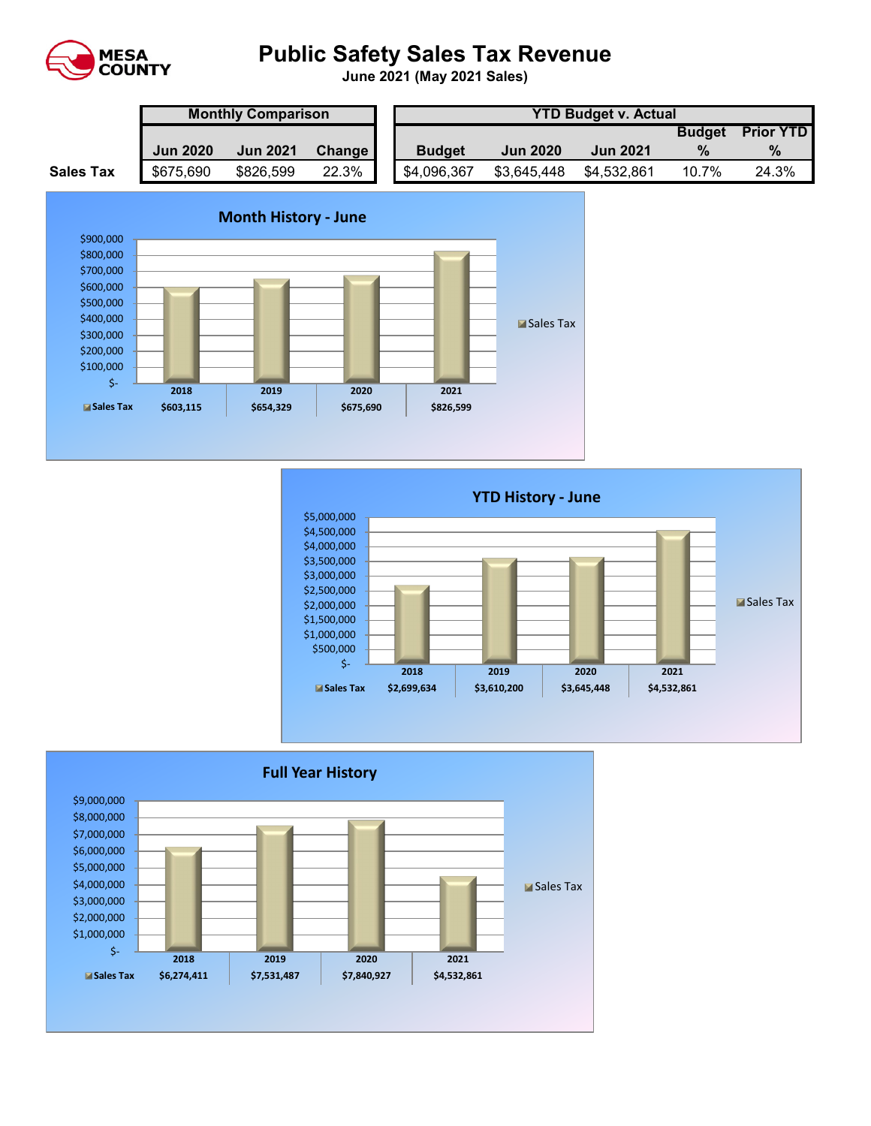

# **Public Safety Sales Tax Revenue**

**June 2021 (May 2021 Sales)** 

|                  | <b>Monthly Comparison</b> |                 |        |  | <b>YTD Budget v. Actual</b> |                 |                 |               |                  |  |  |  |
|------------------|---------------------------|-----------------|--------|--|-----------------------------|-----------------|-----------------|---------------|------------------|--|--|--|
|                  |                           |                 |        |  |                             |                 |                 | <b>Budget</b> | <b>Prior YTD</b> |  |  |  |
|                  | <b>Jun 2020</b>           | <b>Jun 2021</b> | Change |  | <b>Budget</b>               | <b>Jun 2020</b> | <b>Jun 2021</b> | $\%$          | $\%$             |  |  |  |
| <b>Sales Tax</b> | \$675,690                 | \$826,599       | 22.3%  |  | \$4,096,367                 | \$3,645,448     | \$4,532,861     | 10.7%         | 24.3%            |  |  |  |